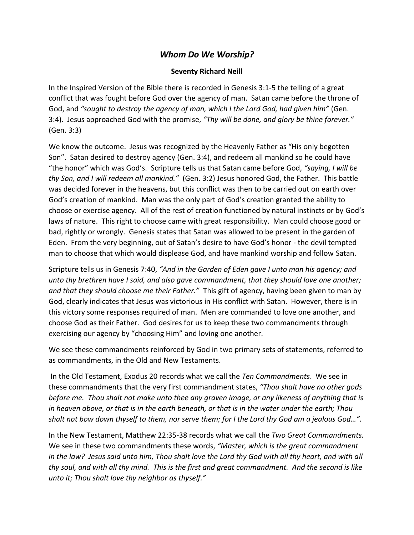## *Whom Do We Worship?*

## **Seventy Richard Neill**

In the Inspired Version of the Bible there is recorded in Genesis 3:1-5 the telling of a great conflict that was fought before God over the agency of man. Satan came before the throne of God, and *"sought to destroy the agency of man, which I the Lord God, had given him"* (Gen. 3:4). Jesus approached God with the promise, *"Thy will be done, and glory be thine forever."* (Gen. 3:3)

We know the outcome. Jesus was recognized by the Heavenly Father as "His only begotten Son". Satan desired to destroy agency (Gen. 3:4), and redeem all mankind so he could have "the honor" which was God's. Scripture tells us that Satan came before God, *"saying, I will be thy Son, and I will redeem all mankind."* (Gen. 3:2) Jesus honored God, the Father. This battle was decided forever in the heavens, but this conflict was then to be carried out on earth over God's creation of mankind. Man was the only part of God's creation granted the ability to choose or exercise agency. All of the rest of creation functioned by natural instincts or by God's laws of nature. This right to choose came with great responsibility. Man could choose good or bad, rightly or wrongly. Genesis states that Satan was allowed to be present in the garden of Eden. From the very beginning, out of Satan's desire to have God's honor - the devil tempted man to choose that which would displease God, and have mankind worship and follow Satan.

Scripture tells us in Genesis 7:40, *"And in the Garden of Eden gave I unto man his agency; and unto thy brethren have I said, and also gave commandment, that they should love one another; and that they should choose me their Father."* This gift of agency, having been given to man by God, clearly indicates that Jesus was victorious in His conflict with Satan. However, there is in this victory some responses required of man. Men are commanded to love one another, and choose God as their Father. God desires for us to keep these two commandments through exercising our agency by "choosing Him" and loving one another.

We see these commandments reinforced by God in two primary sets of statements, referred to as commandments, in the Old and New Testaments.

In the Old Testament, Exodus 20 records what we call the *Ten Commandments*. We see in these commandments that the very first commandment states, *"Thou shalt have no other gods before me. Thou shalt not make unto thee any graven image, or any likeness of anything that is in heaven above, or that is in the earth beneath, or that is in the water under the earth; Thou shalt not bow down thyself to them, nor serve them; for I the Lord thy God am a jealous God…".*

In the New Testament, Matthew 22:35-38 records what we call the *Two Great Commandments.*  We see in these two commandments these words, *"Master, which is the great commandment in the law? Jesus said unto him, Thou shalt love the Lord thy God with all thy heart, and with all thy soul, and with all thy mind. This is the first and great commandment. And the second is like unto it; Thou shalt love thy neighbor as thyself."*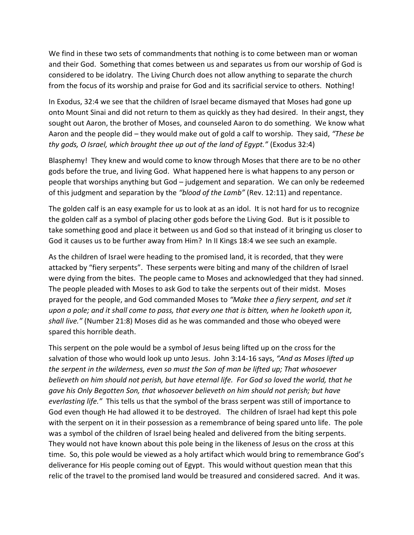We find in these two sets of commandments that nothing is to come between man or woman and their God. Something that comes between us and separates us from our worship of God is considered to be idolatry. The Living Church does not allow anything to separate the church from the focus of its worship and praise for God and its sacrificial service to others. Nothing!

In Exodus, 32:4 we see that the children of Israel became dismayed that Moses had gone up onto Mount Sinai and did not return to them as quickly as they had desired. In their angst, they sought out Aaron, the brother of Moses, and counseled Aaron to do something. We know what Aaron and the people did – they would make out of gold a calf to worship. They said, *"These be thy gods, O Israel, which brought thee up out of the land of Egypt."* (Exodus 32:4)

Blasphemy! They knew and would come to know through Moses that there are to be no other gods before the true, and living God. What happened here is what happens to any person or people that worships anything but God – judgement and separation. We can only be redeemed of this judgment and separation by the *"blood of the Lamb"* (Rev. 12:11) and repentance.

The golden calf is an easy example for us to look at as an idol. It is not hard for us to recognize the golden calf as a symbol of placing other gods before the Living God. But is it possible to take something good and place it between us and God so that instead of it bringing us closer to God it causes us to be further away from Him? In II Kings 18:4 we see such an example.

As the children of Israel were heading to the promised land, it is recorded, that they were attacked by "fiery serpents". These serpents were biting and many of the children of Israel were dying from the bites. The people came to Moses and acknowledged that they had sinned. The people pleaded with Moses to ask God to take the serpents out of their midst. Moses prayed for the people, and God commanded Moses to *"Make thee a fiery serpent, and set it upon a pole; and it shall come to pass, that every one that is bitten, when he looketh upon it, shall live."* (Number 21:8) Moses did as he was commanded and those who obeyed were spared this horrible death.

This serpent on the pole would be a symbol of Jesus being lifted up on the cross for the salvation of those who would look up unto Jesus. John 3:14-16 says, *"And as Moses lifted up the serpent in the wilderness, even so must the Son of man be lifted up; That whosoever believeth on him should not perish, but have eternal life. For God so loved the world, that he gave his Only Begotten Son, that whosoever believeth on him should not perish; but have everlasting life."* This tells us that the symbol of the brass serpent was still of importance to God even though He had allowed it to be destroyed. The children of Israel had kept this pole with the serpent on it in their possession as a remembrance of being spared unto life. The pole was a symbol of the children of Israel being healed and delivered from the biting serpents. They would not have known about this pole being in the likeness of Jesus on the cross at this time. So, this pole would be viewed as a holy artifact which would bring to remembrance God's deliverance for His people coming out of Egypt. This would without question mean that this relic of the travel to the promised land would be treasured and considered sacred. And it was.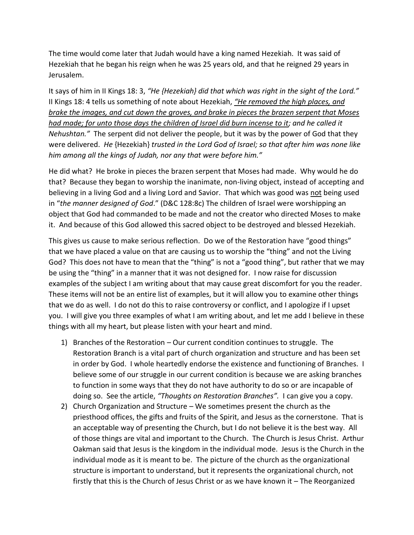The time would come later that Judah would have a king named Hezekiah. It was said of Hezekiah that he began his reign when he was 25 years old, and that he reigned 29 years in Jerusalem.

It says of him in II Kings 18: 3, *"He {Hezekiah} did that which was right in the sight of the Lord."*  II Kings 18: 4 tells us something of note about Hezekiah, *"He removed the high places, and brake the images, and cut down the groves, and brake in pieces the brazen serpent that Moses had made; for unto those days the children of Israel did burn incense to it; and he called it Nehushtan."* The serpent did not deliver the people, but it was by the power of God that they were delivered. *He* {Hezekiah} *trusted in the Lord God of Israel; so that after him was none like him among all the kings of Judah, nor any that were before him."*

He did what? He broke in pieces the brazen serpent that Moses had made. Why would he do that? Because they began to worship the inanimate, non-living object, instead of accepting and believing in a living God and a living Lord and Savior. That which was good was not being used in "*the manner designed of God*." (D&C 128:8c) The children of Israel were worshipping an object that God had commanded to be made and not the creator who directed Moses to make it. And because of this God allowed this sacred object to be destroyed and blessed Hezekiah.

This gives us cause to make serious reflection. Do we of the Restoration have "good things" that we have placed a value on that are causing us to worship the "thing" and not the Living God? This does not have to mean that the "thing" is not a "good thing", but rather that we may be using the "thing" in a manner that it was not designed for. I now raise for discussion examples of the subject I am writing about that may cause great discomfort for you the reader. These items will not be an entire list of examples, but it will allow you to examine other things that we do as well. I do not do this to raise controversy or conflict, and I apologize if I upset you. I will give you three examples of what I am writing about, and let me add I believe in these things with all my heart, but please listen with your heart and mind.

- 1) Branches of the Restoration Our current condition continues to struggle. The Restoration Branch is a vital part of church organization and structure and has been set in order by God. I whole heartedly endorse the existence and functioning of Branches. I believe some of our struggle in our current condition is because we are asking branches to function in some ways that they do not have authority to do so or are incapable of doing so. See the article, *"Thoughts on Restoration Branches".* I can give you a copy.
- 2) Church Organization and Structure We sometimes present the church as the priesthood offices, the gifts and fruits of the Spirit, and Jesus as the cornerstone. That is an acceptable way of presenting the Church, but I do not believe it is the best way. All of those things are vital and important to the Church. The Church is Jesus Christ. Arthur Oakman said that Jesus is the kingdom in the individual mode. Jesus is the Church in the individual mode as it is meant to be. The picture of the church as the organizational structure is important to understand, but it represents the organizational church, not firstly that this is the Church of Jesus Christ or as we have known it – The Reorganized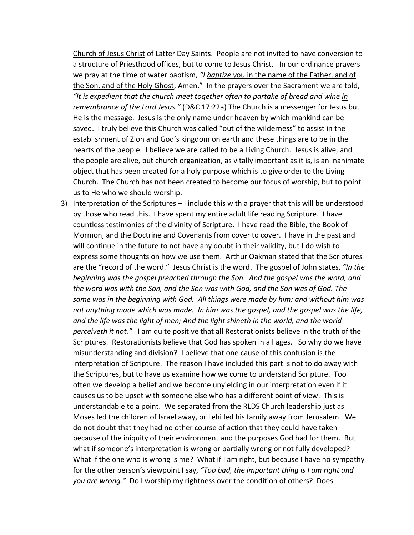Church of Jesus Christ of Latter Day Saints. People are not invited to have conversion to a structure of Priesthood offices, but to come to Jesus Christ. In our ordinance prayers we pray at the time of water baptism, *"I baptize y*ou in the name of the Father, and of the Son, and of the Holy Ghost, Amen." In the prayers over the Sacrament we are told, *"It is expedient that the church meet together often to partake of bread and wine in remembrance of the Lord Jesus."* (D&C 17:22a) The Church is a messenger for Jesus but He is the message. Jesus is the only name under heaven by which mankind can be saved. I truly believe this Church was called "out of the wilderness" to assist in the establishment of Zion and God's kingdom on earth and these things are to be in the hearts of the people. I believe we are called to be a Living Church. Jesus is alive, and the people are alive, but church organization, as vitally important as it is, is an inanimate object that has been created for a holy purpose which is to give order to the Living Church. The Church has not been created to become our focus of worship, but to point us to He who we should worship.

3) Interpretation of the Scriptures – I include this with a prayer that this will be understood by those who read this. I have spent my entire adult life reading Scripture. I have countless testimonies of the divinity of Scripture. I have read the Bible, the Book of Mormon, and the Doctrine and Covenants from cover to cover. I have in the past and will continue in the future to not have any doubt in their validity, but I do wish to express some thoughts on how we use them. Arthur Oakman stated that the Scriptures are the "record of the word." Jesus Christ is the word. The gospel of John states, *"In the beginning was the gospel preached through the Son. And the gospel was the word, and the word was with the Son, and the Son was with God, and the Son was of God. The same was in the beginning with God. All things were made by him; and without him was not anything made which was made. In him was the gospel, and the gospel was the life, and the life was the light of men; And the light shineth in the world, and the world perceiveth it not."* I am quite positive that all Restorationists believe in the truth of the Scriptures. Restorationists believe that God has spoken in all ages. So why do we have misunderstanding and division? I believe that one cause of this confusion is the interpretation of Scripture. The reason I have included this part is not to do away with the Scriptures, but to have us examine how we come to understand Scripture. Too often we develop a belief and we become unyielding in our interpretation even if it causes us to be upset with someone else who has a different point of view. This is understandable to a point. We separated from the RLDS Church leadership just as Moses led the children of Israel away, or Lehi led his family away from Jerusalem. We do not doubt that they had no other course of action that they could have taken because of the iniquity of their environment and the purposes God had for them. But what if someone's interpretation is wrong or partially wrong or not fully developed? What if the one who is wrong is me? What if I am right, but because I have no sympathy for the other person's viewpoint I say, *"Too bad, the important thing is I am right and you are wrong."* Do I worship my rightness over the condition of others? Does